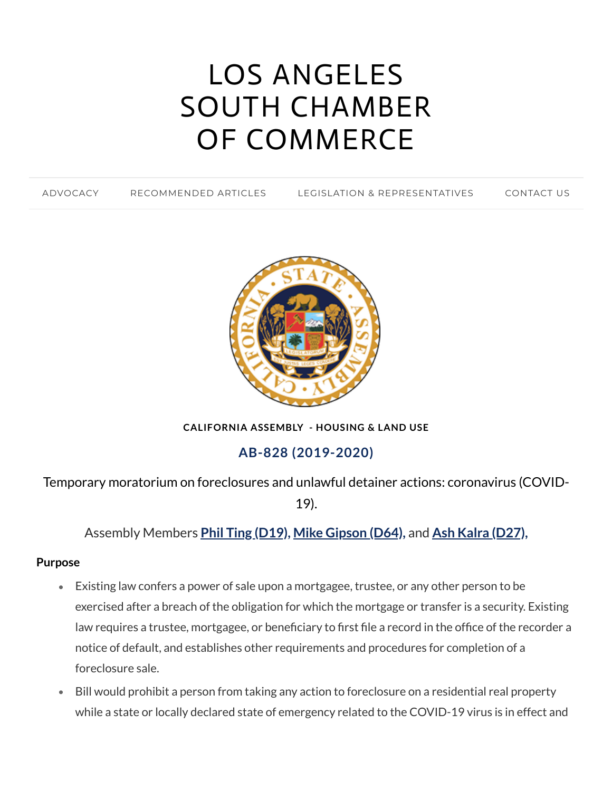# LOS ANGELES SOUTH CHAMBER OF [COMMERCE](https://www.lascc.us/)

[ADVOCACY](https://www.lascc.us/) [RECOMMENDED](https://www.lascc.us/recommended-articles.html) ARTICLES LEGISLATION & [REPRESENTATIVES](https://www.lascc.us/legislation--representatives.html) [CONTACT](https://www.lascc.us/contact-us.html) US



**CALIFORNIA ASSEMBLY - HOUSING & LAND USE**

## **AB-828 (2019-2020)**

Temporary moratorium on foreclosures and unlawful detainer actions: coronavirus (COVID-

19).

Assembly Members **Phil Ting [\(D19\),](https://a19.asmdc.org/) Mike [Gipson](https://a64.asmdc.org/) (D64),** and **Ash Kalra [\(D27\),](https://a27.asmdc.org/)**

#### **Purpose**

- Existing law confers a power of sale upon a mortgagee, trustee, or any other person to be exercised after a breach of the obligation for which the mortgage or transfer is a security. Existing law requires a trustee, mortgagee, or beneficiary to first file a record in the office of the recorder a notice of default, and establishes other requirements and procedures for completion of a foreclosure sale.
- Bill would prohibit a person from taking any action to foreclosure on a residential real property while a state or locally declared state of emergency related to the COVID-19 virus is in effect and